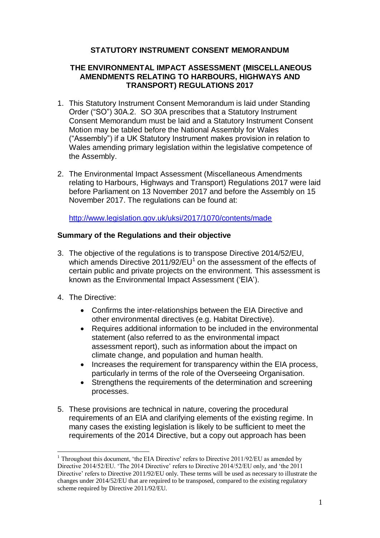# **STATUTORY INSTRUMENT CONSENT MEMORANDUM**

# **THE ENVIRONMENTAL IMPACT ASSESSMENT (MISCELLANEOUS AMENDMENTS RELATING TO HARBOURS, HIGHWAYS AND TRANSPORT) REGULATIONS 2017**

- 1. This Statutory Instrument Consent Memorandum is laid under Standing Order ("SO") 30A.2. SO 30A prescribes that a Statutory Instrument Consent Memorandum must be laid and a Statutory Instrument Consent Motion may be tabled before the National Assembly for Wales ("Assembly") if a UK Statutory Instrument makes provision in relation to Wales amending primary legislation within the legislative competence of the Assembly.
- 2. The Environmental Impact Assessment (Miscellaneous Amendments relating to Harbours, Highways and Transport) Regulations 2017 were laid before Parliament on 13 November 2017 and before the Assembly on 15 November 2017. The regulations can be found at:

<http://www.legislation.gov.uk/uksi/2017/1070/contents/made>

# **Summary of the Regulations and their objective**

- 3. The objective of the regulations is to transpose Directive 2014/52/EU, which amends Directive  $2011/92/EU<sup>1</sup>$  on the assessment of the effects of certain public and private projects on the environment. This assessment is known as the Environmental Impact Assessment ('EIA').
- 4. The Directive:

<u>.</u>

- Confirms the inter-relationships between the EIA Directive and other environmental directives (e.g. Habitat Directive).
- Requires additional information to be included in the environmental statement (also referred to as the environmental impact assessment report), such as information about the impact on climate change, and population and human health.
- Increases the requirement for transparency within the EIA process, particularly in terms of the role of the Overseeing Organisation.
- Strengthens the requirements of the determination and screening processes.
- 5. These provisions are technical in nature, covering the procedural requirements of an EIA and clarifying elements of the existing regime. In many cases the existing legislation is likely to be sufficient to meet the requirements of the 2014 Directive, but a copy out approach has been

<sup>&</sup>lt;sup>1</sup> Throughout this document, 'the EIA Directive' refers to Directive 2011/92/EU as amended by Directive 2014/52/EU. 'The 2014 Directive' refers to Directive 2014/52/EU only, and 'the 2011 Directive' refers to Directive 2011/92/EU only. These terms will be used as necessary to illustrate the changes under 2014/52/EU that are required to be transposed, compared to the existing regulatory scheme required by Directive 2011/92/EU.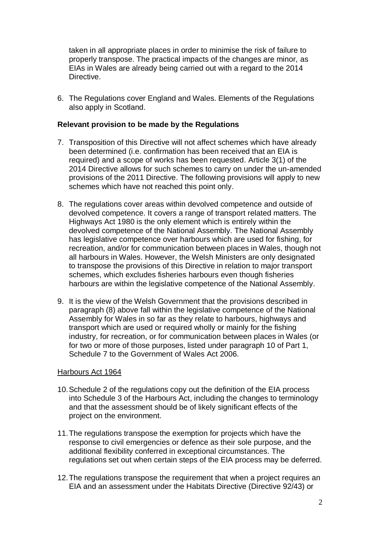taken in all appropriate places in order to minimise the risk of failure to properly transpose. The practical impacts of the changes are minor, as EIAs in Wales are already being carried out with a regard to the 2014 Directive.

6. The Regulations cover England and Wales. Elements of the Regulations also apply in Scotland.

## **Relevant provision to be made by the Regulations**

- 7. Transposition of this Directive will not affect schemes which have already been determined (i.e. confirmation has been received that an EIA is required) and a scope of works has been requested. Article 3(1) of the 2014 Directive allows for such schemes to carry on under the un-amended provisions of the 2011 Directive. The following provisions will apply to new schemes which have not reached this point only.
- 8. The regulations cover areas within devolved competence and outside of devolved competence. It covers a range of transport related matters. The Highways Act 1980 is the only element which is entirely within the devolved competence of the National Assembly. The National Assembly has legislative competence over harbours which are used for fishing, for recreation, and/or for communication between places in Wales, though not all harbours in Wales. However, the Welsh Ministers are only designated to transpose the provisions of this Directive in relation to major transport schemes, which excludes fisheries harbours even though fisheries harbours are within the legislative competence of the National Assembly.
- 9. It is the view of the Welsh Government that the provisions described in paragraph (8) above fall within the legislative competence of the National Assembly for Wales in so far as they relate to harbours, highways and transport which are used or required wholly or mainly for the fishing industry, for recreation, or for communication between places in Wales (or for two or more of those purposes, listed under paragraph 10 of Part 1, Schedule 7 to the Government of Wales Act 2006.

#### Harbours Act 1964

- 10.Schedule 2 of the regulations copy out the definition of the EIA process into Schedule 3 of the Harbours Act, including the changes to terminology and that the assessment should be of likely significant effects of the project on the environment.
- 11.The regulations transpose the exemption for projects which have the response to civil emergencies or defence as their sole purpose, and the additional flexibility conferred in exceptional circumstances. The regulations set out when certain steps of the EIA process may be deferred.
- 12.The regulations transpose the requirement that when a project requires an EIA and an assessment under the Habitats Directive (Directive 92/43) or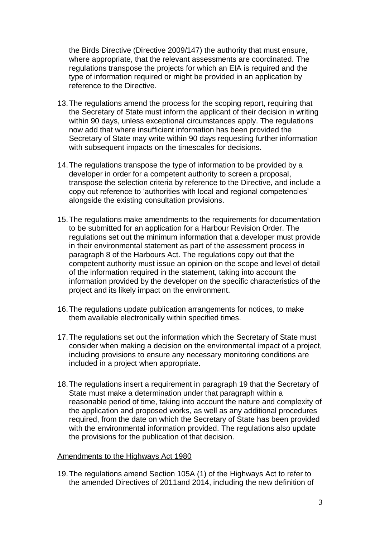the Birds Directive (Directive 2009/147) the authority that must ensure, where appropriate, that the relevant assessments are coordinated. The regulations transpose the projects for which an EIA is required and the type of information required or might be provided in an application by reference to the Directive.

- 13.The regulations amend the process for the scoping report, requiring that the Secretary of State must inform the applicant of their decision in writing within 90 days, unless exceptional circumstances apply. The regulations now add that where insufficient information has been provided the Secretary of State may write within 90 days requesting further information with subsequent impacts on the timescales for decisions.
- 14.The regulations transpose the type of information to be provided by a developer in order for a competent authority to screen a proposal, transpose the selection criteria by reference to the Directive, and include a copy out reference to 'authorities with local and regional competencies' alongside the existing consultation provisions.
- 15.The regulations make amendments to the requirements for documentation to be submitted for an application for a Harbour Revision Order. The regulations set out the minimum information that a developer must provide in their environmental statement as part of the assessment process in paragraph 8 of the Harbours Act. The regulations copy out that the competent authority must issue an opinion on the scope and level of detail of the information required in the statement, taking into account the information provided by the developer on the specific characteristics of the project and its likely impact on the environment.
- 16.The regulations update publication arrangements for notices, to make them available electronically within specified times.
- 17.The regulations set out the information which the Secretary of State must consider when making a decision on the environmental impact of a project, including provisions to ensure any necessary monitoring conditions are included in a project when appropriate.
- 18.The regulations insert a requirement in paragraph 19 that the Secretary of State must make a determination under that paragraph within a reasonable period of time, taking into account the nature and complexity of the application and proposed works, as well as any additional procedures required, from the date on which the Secretary of State has been provided with the environmental information provided. The regulations also update the provisions for the publication of that decision.

#### Amendments to the Highways Act 1980

19.The regulations amend Section 105A (1) of the Highways Act to refer to the amended Directives of 2011and 2014, including the new definition of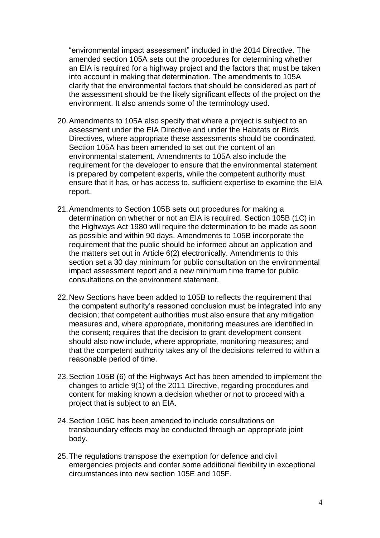"environmental impact assessment" included in the 2014 Directive. The amended section 105A sets out the procedures for determining whether an EIA is required for a highway project and the factors that must be taken into account in making that determination. The amendments to 105A clarify that the environmental factors that should be considered as part of the assessment should be the likely significant effects of the project on the environment. It also amends some of the terminology used.

- 20.Amendments to 105A also specify that where a project is subject to an assessment under the EIA Directive and under the Habitats or Birds Directives, where appropriate these assessments should be coordinated. Section 105A has been amended to set out the content of an environmental statement. Amendments to 105A also include the requirement for the developer to ensure that the environmental statement is prepared by competent experts, while the competent authority must ensure that it has, or has access to, sufficient expertise to examine the EIA report.
- 21.Amendments to Section 105B sets out procedures for making a determination on whether or not an EIA is required. Section 105B (1C) in the Highways Act 1980 will require the determination to be made as soon as possible and within 90 days. Amendments to 105B incorporate the requirement that the public should be informed about an application and the matters set out in Article 6(2) electronically. Amendments to this section set a 30 day minimum for public consultation on the environmental impact assessment report and a new minimum time frame for public consultations on the environment statement.
- 22.New Sections have been added to 105B to reflects the requirement that the competent authority's reasoned conclusion must be integrated into any decision; that competent authorities must also ensure that any mitigation measures and, where appropriate, monitoring measures are identified in the consent; requires that the decision to grant development consent should also now include, where appropriate, monitoring measures; and that the competent authority takes any of the decisions referred to within a reasonable period of time.
- 23.Section 105B (6) of the Highways Act has been amended to implement the changes to article 9(1) of the 2011 Directive, regarding procedures and content for making known a decision whether or not to proceed with a project that is subject to an EIA.
- 24.Section 105C has been amended to include consultations on transboundary effects may be conducted through an appropriate joint body.
- 25.The regulations transpose the exemption for defence and civil emergencies projects and confer some additional flexibility in exceptional circumstances into new section 105E and 105F.